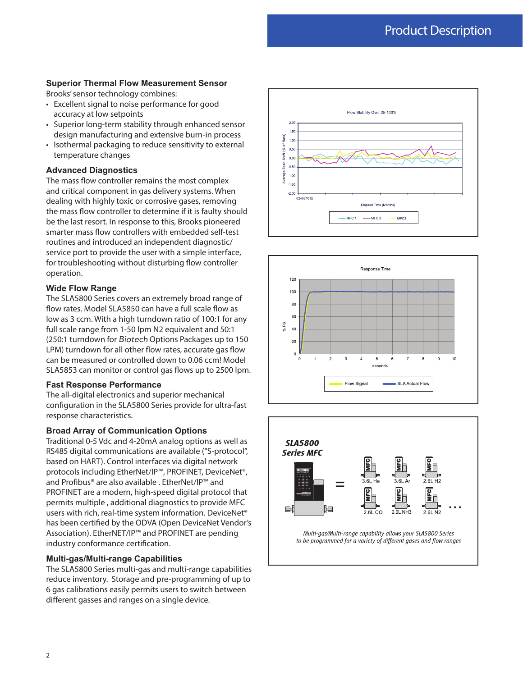### **Superior Thermal Flow Measurement Sensor**

Brooks' sensor technology combines:

- Excellent signal to noise performance for good accuracy at low setpoints
- Superior long-term stability through enhanced sensor design manufacturing and extensive burn-in process
- Isothermal packaging to reduce sensitivity to external temperature changes

#### **Advanced Diagnostics**

The mass flow controller remains the most complex and critical component in gas delivery systems. When dealing with highly toxic or corrosive gases, removing the mass flow controller to determine if it is faulty should be the last resort. In response to this, Brooks pioneered smarter mass flow controllers with embedded self-test routines and introduced an independent diagnostic/ service port to provide the user with a simple interface, for troubleshooting without disturbing flow controller operation.

### **Wide Flow Range**

The SLA5800 Series covers an extremely broad range of flow rates. Model SLA5850 can have a full scale flow as low as 3 ccm. With a high turndown ratio of 100:1 for any full scale range from 1-50 lpm N2 equivalent and 50:1 (250:1 turndown for *Biotech* Options Packages up to 150 LPM) turndown for all other flow rates, accurate gas flow can be measured or controlled down to 0.06 ccm! Model SLA5853 can monitor or control gas flows up to 2500 lpm.

#### **Fast Response Performance**

The all-digital electronics and superior mechanical configuration in the SLA5800 Series provide for ultra-fast response characteristics.

#### **Broad Array of Communication Options**

Traditional 0-5 Vdc and 4-20mA analog options as well as RS485 digital communications are available ("S-protocol", based on HART). Control interfaces via digital network protocols including EtherNet/IP™, PROFINET, DeviceNet®, and Profibus® are also available . EtherNet/IP™ and PROFINET are a modern, high-speed digital protocol that permits multiple , additional diagnostics to provide MFC users with rich, real-time system information. DeviceNet® has been certified by the ODVA (Open DeviceNet Vendor's Association). EtherNET/IP™ and PROFINET are pending industry conformance certification.

#### **Multi-gas/Multi-range Capabilities**

The SLA5800 Series multi-gas and multi-range capabilities reduce inventory. Storage and pre-programming of up to 6 gas calibrations easily permits users to switch between different gasses and ranges on a single device.







Multi-gas/Multi-range capability allows your SLA5800 Series to be programmed for a variety of different gases and flow ranges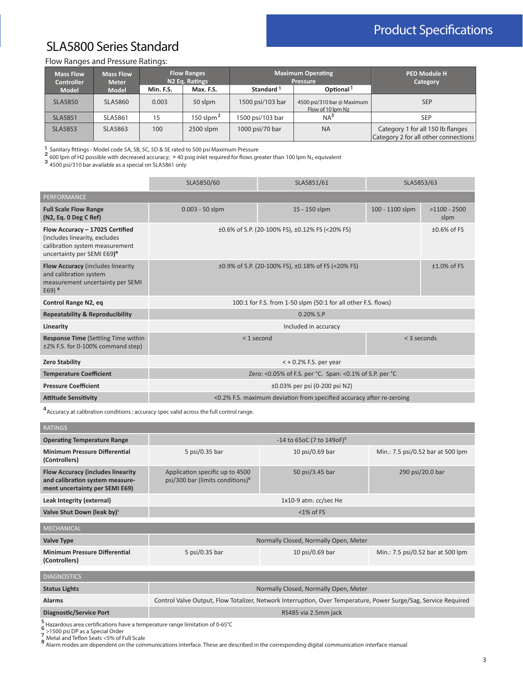# Product Specifications

## SLA5800 Series Standard

### Flow Ranges and Pressure Ratings:

| <b>Mass Flow</b><br><b>Controller</b> | <b>Mass Flow</b><br><b>Meter</b> | <b>Flow Ranges</b><br>N <sub>2</sub> Eq. Ratings |               |                       | <b>Maximum Operating</b><br><b>Pressure</b>     | <b>PED Module H</b><br>Category                                           |
|---------------------------------------|----------------------------------|--------------------------------------------------|---------------|-----------------------|-------------------------------------------------|---------------------------------------------------------------------------|
| <b>Model</b>                          | <b>Model</b>                     | Min. F.S.                                        | Max. F.S.     | Standard <sup>1</sup> | Optional <sup>1</sup>                           |                                                                           |
| <b>SLA5850</b>                        | SLA5860                          | 0.003                                            | 50 slpm       | 1500 psi/103 bar      | 4500 psi/310 bar @ Maximum<br>Flow of 10 lpm N2 | <b>SEP</b>                                                                |
| <b>SLA5851</b>                        | SLA5861                          | 15                                               | 150 slpm $^2$ | 1500 psi/103 bar      | NA <sup>3</sup>                                 | <b>SEP</b>                                                                |
| <b>SLA5853</b>                        | SLA5863                          | 100                                              | 2500 slpm     | 1000 psi/70 bar       | <b>NA</b>                                       | Category 1 for all 150 lb flanges<br>Category 2 for all other connections |

1 Sanitary fittings - Model code 5A, 5B, 5C, 5D & 5E rated to 500 psi Maximum Pressure 1<br>2

 $\frac{2}{3}$  600 lpm of H2 possible with decreased accuracy; > 40 psig inlet required for flows greater than 100 lpm N<sub>2</sub> equivalent

**3** 4500 psi/310 bar available as a special on SLA5861 only

|                                                                                                                                              | SLA5850/60                                              | SLA5851/61                                                            | SLA5853/63      |                        |  |  |  |  |  |  |
|----------------------------------------------------------------------------------------------------------------------------------------------|---------------------------------------------------------|-----------------------------------------------------------------------|-----------------|------------------------|--|--|--|--|--|--|
| <b>PERFORMANCE</b>                                                                                                                           |                                                         |                                                                       |                 |                        |  |  |  |  |  |  |
| <b>Full Scale Flow Range</b><br>(N2, Eq. 0 Deg C Ref)                                                                                        | $0.003 - 50$ slpm                                       | 15 - 150 slpm                                                         | 100 - 1100 slpm | $>1100 - 2500$<br>slpm |  |  |  |  |  |  |
| Flow Accuracy - 17025 Certified<br>(includes linearity, excludes<br>calibration system measurement<br>uncertainty per SEMI E69) <sup>4</sup> |                                                         | ±0.6% of S.P. (20-100% FS), ±0.12% FS (<20% FS)<br>$±0.6\%$ of FS     |                 |                        |  |  |  |  |  |  |
| <b>Flow Accuracy (includes linearity</b><br>and calibration system<br>measurement uncertainty per SEMI<br>$E69$ <sup>4</sup>                 |                                                         | $\pm 0.9\%$ of S.P. (20-100% FS), $\pm 0.18\%$ of FS (<20% FS)        |                 | $±1.0\%$ of FS         |  |  |  |  |  |  |
| Control Range N2, eq                                                                                                                         |                                                         | 100:1 for F.S. from 1-50 slpm (50:1 for all other F.S. flows)         |                 |                        |  |  |  |  |  |  |
| <b>Repeatability &amp; Reproducibility</b>                                                                                                   |                                                         | $0.20\%$ S.P                                                          |                 |                        |  |  |  |  |  |  |
| Linearity                                                                                                                                    |                                                         | Included in accuracy                                                  |                 |                        |  |  |  |  |  |  |
| <b>Response Time (Settling Time within</b><br>±2% F.S. for 0-100% command step)                                                              | $<$ 1 second<br>< 3 seconds                             |                                                                       |                 |                        |  |  |  |  |  |  |
| <b>Zero Stability</b>                                                                                                                        | $<$ + 0.2% F.S. per year                                |                                                                       |                 |                        |  |  |  |  |  |  |
| <b>Temperature Coefficient</b>                                                                                                               | Zero: <0.05% of F.S. per °C. Span: <0.1% of S.P. per °C |                                                                       |                 |                        |  |  |  |  |  |  |
| <b>Pressure Coefficient</b>                                                                                                                  | ±0.03% per psi (0-200 psi N2)                           |                                                                       |                 |                        |  |  |  |  |  |  |
| <b>Attitude Sensitivity</b>                                                                                                                  |                                                         | <0.2% F.S. maximum deviation from specified accuracy after re-zeroing |                 |                        |  |  |  |  |  |  |

<sup>4</sup> Accuracy at calibration conditions ; accuracy spec valid across the full control range.

| <b>RATINGS</b>                                                                                                |                                                                                                             |                                       |                                   |  |  |  |  |  |
|---------------------------------------------------------------------------------------------------------------|-------------------------------------------------------------------------------------------------------------|---------------------------------------|-----------------------------------|--|--|--|--|--|
| <b>Operating Temperature Range</b>                                                                            | -14 to 65oC (7 to 149oF) <sup>5</sup>                                                                       |                                       |                                   |  |  |  |  |  |
| <b>Minimum Pressure Differential</b><br>(Controllers)                                                         | 5 psi/0.35 bar                                                                                              | 10 psi/0.69 bar                       | Min.: 7.5 psi/0.52 bar at 500 lpm |  |  |  |  |  |
| <b>Flow Accuracy (includes linearity</b><br>and calibration system measure-<br>ment uncertainty per SEMI E69) | Application specific up to 4500<br>psi/300 bar (limits conditions) <sup>6</sup>                             | 50 psi/3.45 bar                       | 290 psi/20.0 bar                  |  |  |  |  |  |
| Leak Integrity (external)                                                                                     |                                                                                                             | 1x10-9 atm. cc/sec He                 |                                   |  |  |  |  |  |
| Valve Shut Down (leak by) <sup>7</sup>                                                                        |                                                                                                             | $<$ 1% of FS                          |                                   |  |  |  |  |  |
| <b>MECHANICAL</b>                                                                                             |                                                                                                             |                                       |                                   |  |  |  |  |  |
|                                                                                                               |                                                                                                             |                                       |                                   |  |  |  |  |  |
| <b>Valve Type</b>                                                                                             |                                                                                                             | Normally Closed, Normally Open, Meter |                                   |  |  |  |  |  |
| <b>Minimum Pressure Differential</b><br>(Controllers)                                                         | 5 psi/0.35 bar                                                                                              | 10 psi/0.69 bar                       | Min.: 7.5 psi/0.52 bar at 500 lpm |  |  |  |  |  |
| <b>DIAGNOSTICS</b>                                                                                            |                                                                                                             |                                       |                                   |  |  |  |  |  |
|                                                                                                               |                                                                                                             |                                       |                                   |  |  |  |  |  |
| <b>Status Lights</b>                                                                                          | Normally Closed, Normally Open, Meter                                                                       |                                       |                                   |  |  |  |  |  |
| <b>Alarme</b>                                                                                                 | Control Valve Output Flow Tatalizer Network Interruption Over Temperature Rewer Surge (Sag Service Required |                                       |                                   |  |  |  |  |  |

| <b>Alarms</b>           | Control Valve Output, Flow Totalizer, Network Interruption, Over Temperature, Power Surge/Sag, Service Required |
|-------------------------|-----------------------------------------------------------------------------------------------------------------|
| Diagnostic/Service Port | RS485 via 2.5mm jack                                                                                            |

5<br>6 Hazardous area certifications have a temperature range limitation of 0-65°C<br>7 >1500 psi DP as a Special Order<br>8 Metal and Teflon Seats <5% of Full Scale<br>8 Alarm modes are dependent on the communications interface. Thes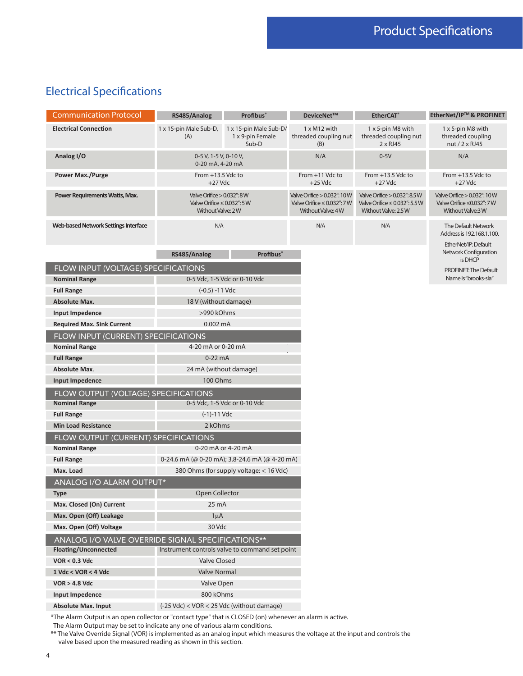### Electrical Specifications

| <b>Communication Protocol</b>                                                                             | RS485/Analog                                                                              | <b>Profibus</b> ®                                   | DeviceNet™                                                                           | <b>EtherCAT</b> <sup>*</sup>                                                                     | EtherNet/IP™& PROFINET                                                                |  |  |
|-----------------------------------------------------------------------------------------------------------|-------------------------------------------------------------------------------------------|-----------------------------------------------------|--------------------------------------------------------------------------------------|--------------------------------------------------------------------------------------------------|---------------------------------------------------------------------------------------|--|--|
| <b>Electrical Connection</b>                                                                              | 1 x 15-pin Male Sub-D,<br>(A)                                                             | 1 x 15-pin Male Sub-D/<br>1 x 9-pin Female<br>Sub-D | $1 \times M12$ with<br>threaded coupling nut<br>(B)                                  | 1 x 5-pin M8 with<br>threaded coupling nut<br>$2 \times R$ J45                                   | 1 x 5-pin M8 with<br>threaded coupling<br>nut / 2 x RJ45                              |  |  |
| Analog I/O                                                                                                | 0-5 V, 1-5 V, 0-10 V,<br>0-20 mA, 4-20 mA                                                 |                                                     | N/A                                                                                  | $0-5V$                                                                                           | N/A                                                                                   |  |  |
| <b>Power Max./Purge</b>                                                                                   | From +13.5 Vdc to<br>$+27$ Vdc                                                            |                                                     | From +11 Vdc to<br>$+25$ Vdc                                                         | From +13.5 Vdc to<br>$+27$ Vdc                                                                   | From $+13.5$ Vdc to<br>$+27$ Vdc                                                      |  |  |
| Power Requirements Watts, Max.                                                                            | Valve Orifice $> 0.032$ ": $8$ W<br>Valve Orifice $\leq$ 0.032": 5 W<br>Without Valve: 2W |                                                     | Valve Orifice > 0.032": 10W<br>Valve Orifice $\leq$ 0.032": 7 W<br>Without Valve: 4W | Valve Orifice $> 0.032$ ": $8.5 W$<br>Valve Orifice $\leq$ 0.032": 5.5 W<br>Without Valve: 2.5 W | Valve Orifice > 0.032": 10W<br>Valve Orifice $\leq$ 0.032": 7 W<br>Without Valve: 3 W |  |  |
| <b>Web-based Network Settings Interface</b>                                                               | N/A                                                                                       |                                                     | N/A                                                                                  | N/A                                                                                              | The Default Network<br>Address is 192.168.1.100.                                      |  |  |
|                                                                                                           | RS485/Analog                                                                              | <b>Profibus</b> ®                                   |                                                                                      |                                                                                                  | EtherNet/IP: Default<br>Network Configuration<br>is DHCP                              |  |  |
| FLOW INPUT (VOLTAGE) SPECIFICATIONS                                                                       |                                                                                           |                                                     |                                                                                      |                                                                                                  | <b>PROFINET: The Default</b>                                                          |  |  |
| <b>Nominal Range</b>                                                                                      |                                                                                           | 0-5 Vdc, 1-5 Vdc or 0-10 Vdc                        |                                                                                      |                                                                                                  | Name is "brooks-sla"                                                                  |  |  |
| <b>Full Range</b>                                                                                         | $(-0.5) - 11$ Vdc                                                                         |                                                     |                                                                                      |                                                                                                  |                                                                                       |  |  |
| <b>Absolute Max.</b>                                                                                      | 18 V (without damage)                                                                     |                                                     |                                                                                      |                                                                                                  |                                                                                       |  |  |
| Input Impedence                                                                                           | >990 kOhms                                                                                |                                                     |                                                                                      |                                                                                                  |                                                                                       |  |  |
| <b>Required Max. Sink Current</b>                                                                         | $0.002 \text{ mA}$                                                                        |                                                     |                                                                                      |                                                                                                  |                                                                                       |  |  |
| FLOW INPUT (CURRENT) SPECIFICATIONS                                                                       |                                                                                           |                                                     |                                                                                      |                                                                                                  |                                                                                       |  |  |
| <b>Nominal Range</b>                                                                                      | 4-20 mA or 0-20 mA                                                                        |                                                     |                                                                                      |                                                                                                  |                                                                                       |  |  |
| <b>Full Range</b>                                                                                         | $0-22$ mA                                                                                 |                                                     |                                                                                      |                                                                                                  |                                                                                       |  |  |
| <b>Absolute Max.</b>                                                                                      | 24 mA (without damage)                                                                    |                                                     |                                                                                      |                                                                                                  |                                                                                       |  |  |
| Input Impedence                                                                                           | 100 Ohms                                                                                  |                                                     |                                                                                      |                                                                                                  |                                                                                       |  |  |
| FLOW OUTPUT (VOLTAGE) SPECIFICATIONS                                                                      |                                                                                           |                                                     |                                                                                      |                                                                                                  |                                                                                       |  |  |
| <b>Nominal Range</b>                                                                                      | $(-1)-11$ Vdc                                                                             | 0-5 Vdc, 1-5 Vdc or 0-10 Vdc                        |                                                                                      |                                                                                                  |                                                                                       |  |  |
| <b>Full Range</b><br><b>Min Load Resistance</b>                                                           | 2 kOhms                                                                                   |                                                     |                                                                                      |                                                                                                  |                                                                                       |  |  |
| FLOW OUTPUT (CURRENT) SPECIFICATIONS                                                                      |                                                                                           |                                                     |                                                                                      |                                                                                                  |                                                                                       |  |  |
| <b>Nominal Range</b>                                                                                      |                                                                                           | 0-20 mA or 4-20 mA                                  |                                                                                      |                                                                                                  |                                                                                       |  |  |
| <b>Full Range</b>                                                                                         |                                                                                           | 0-24.6 mA (@ 0-20 mA); 3.8-24.6 mA (@ 4-20 mA)      |                                                                                      |                                                                                                  |                                                                                       |  |  |
| Max. Load                                                                                                 |                                                                                           | 380 Ohms (for supply voltage: < 16 Vdc)             |                                                                                      |                                                                                                  |                                                                                       |  |  |
| <b>ANALOG I/O ALARM OUTPUT*</b>                                                                           |                                                                                           |                                                     |                                                                                      |                                                                                                  |                                                                                       |  |  |
| <b>Type</b>                                                                                               | Open Collector                                                                            |                                                     |                                                                                      |                                                                                                  |                                                                                       |  |  |
| Max. Closed (On) Current                                                                                  | $25 \text{ mA}$                                                                           |                                                     |                                                                                      |                                                                                                  |                                                                                       |  |  |
| Max. Open (Off) Leakage                                                                                   | $1\mu$ A                                                                                  |                                                     |                                                                                      |                                                                                                  |                                                                                       |  |  |
| Max. Open (Off) Voltage                                                                                   | 30 Vdc                                                                                    |                                                     |                                                                                      |                                                                                                  |                                                                                       |  |  |
|                                                                                                           | ANALOG I/O VALVE OVERRIDE SIGNAL SPECIFICATIONS**                                         |                                                     |                                                                                      |                                                                                                  |                                                                                       |  |  |
| Floating/Unconnected                                                                                      | Instrument controls valve to command set point                                            |                                                     |                                                                                      |                                                                                                  |                                                                                       |  |  |
| <b>VOR &lt; 0.3 Vdc</b>                                                                                   | <b>Valve Closed</b>                                                                       |                                                     |                                                                                      |                                                                                                  |                                                                                       |  |  |
| 1 Vdc < VOR < 4 Vdc                                                                                       | <b>Valve Normal</b>                                                                       |                                                     |                                                                                      |                                                                                                  |                                                                                       |  |  |
| <b>VOR &gt; 4.8 Vdc</b>                                                                                   | Valve Open                                                                                |                                                     |                                                                                      |                                                                                                  |                                                                                       |  |  |
| Input Impedence                                                                                           | 800 kOhms                                                                                 |                                                     |                                                                                      |                                                                                                  |                                                                                       |  |  |
| <b>Absolute Max. Input</b>                                                                                | (-25 Vdc) < VOR < 25 Vdc (without damage)                                                 |                                                     |                                                                                      |                                                                                                  |                                                                                       |  |  |
| *The Alarm Output is an open collector or "contact type" that is CLOSED (on) whenever an alarm is active. |                                                                                           |                                                     |                                                                                      |                                                                                                  |                                                                                       |  |  |

The Alarm Output may be set to indicate any one of various alarm conditions.

\*\* The Valve Override Signal (VOR) is implemented as an analog input which measures the voltage at the input and controls the valve based upon the measured reading as shown in this section.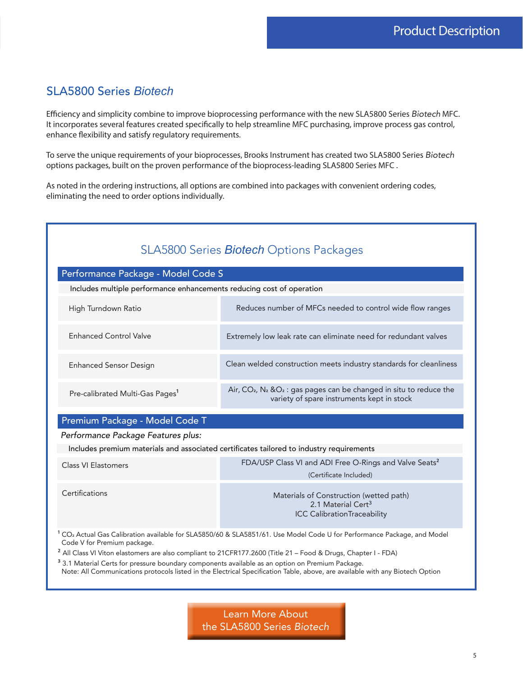### SLA5800 Series *Biotech*

Efficiency and simplicity combine to improve bioprocessing performance with the new SLA5800 Series *Biotech* MFC. It incorporates several features created specifically to help streamline MFC purchasing, improve process gas control, enhance flexibility and satisfy regulatory requirements.

To serve the unique requirements of your bioprocesses, Brooks Instrument has created two SLA5800 Series *Biotech* options packages, built on the proven performance of the bioprocess-leading SLA5800 Series MFC .

As noted in the ordering instructions, all options are combined into packages with convenient ordering codes, eliminating the need to order options individually.

| SLA5800 Series <b>Biotech</b> Options Packages                                                                                                                                                                                               |                                                                                                                                   |  |  |  |  |
|----------------------------------------------------------------------------------------------------------------------------------------------------------------------------------------------------------------------------------------------|-----------------------------------------------------------------------------------------------------------------------------------|--|--|--|--|
| Performance Package - Model Code S                                                                                                                                                                                                           |                                                                                                                                   |  |  |  |  |
| Includes multiple performance enhancements reducing cost of operation                                                                                                                                                                        |                                                                                                                                   |  |  |  |  |
| High Turndown Ratio                                                                                                                                                                                                                          | Reduces number of MFCs needed to control wide flow ranges                                                                         |  |  |  |  |
| <b>Enhanced Control Valve</b>                                                                                                                                                                                                                | Extremely low leak rate can eliminate need for redundant valves                                                                   |  |  |  |  |
| <b>Enhanced Sensor Design</b>                                                                                                                                                                                                                | Clean welded construction meets industry standards for cleanliness                                                                |  |  |  |  |
| Pre-calibrated Multi-Gas Pages <sup>1</sup>                                                                                                                                                                                                  | Air, $CO2$ , N <sub>2</sub> & $O2$ : gas pages can be changed in situ to reduce the<br>variety of spare instruments kept in stock |  |  |  |  |
| Premium Package - Model Code T                                                                                                                                                                                                               |                                                                                                                                   |  |  |  |  |
| Performance Package Features plus:                                                                                                                                                                                                           |                                                                                                                                   |  |  |  |  |
|                                                                                                                                                                                                                                              | Includes premium materials and associated certificates tailored to industry requirements                                          |  |  |  |  |
| Class VI Elastomers                                                                                                                                                                                                                          | FDA/USP Class VI and ADI Free O-Rings and Valve Seats <sup>2</sup>                                                                |  |  |  |  |
|                                                                                                                                                                                                                                              | (Certificate Included)                                                                                                            |  |  |  |  |
| Certifications                                                                                                                                                                                                                               | Materials of Construction (wetted path)<br>2.1 Material Cert <sup>3</sup><br><b>ICC CalibrationTraceability</b>                   |  |  |  |  |
| <sup>1</sup> CO <sub>2</sub> Actual Gas Calibration available for SLA5850/60 & SLA5851/61. Use Model Code U for Performance Package, and Model<br>Code V for Premium package.                                                                |                                                                                                                                   |  |  |  |  |
| <sup>2</sup> All Class VI Viton elastomers are also compliant to 21CFR177.2600 (Title 21 - Food & Drugs, Chapter I - FDA)                                                                                                                    |                                                                                                                                   |  |  |  |  |
| <sup>3</sup> 3.1 Material Certs for pressure boundary components available as an option on Premium Package.<br>Note: All Communications protocols listed in the Electrical Specification Table, above, are available with any Biotech Option |                                                                                                                                   |  |  |  |  |

Learn More About the SLA5800 Series *Biotech*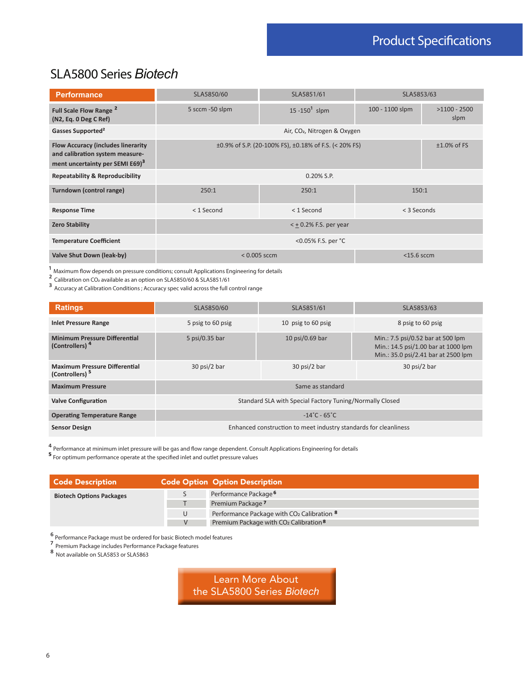# Product Specifications

### SLA5800 Series *Biotech*

| <b>Performance</b>                                                                                                          | SLA5850/60                                                                          | SLA5853/63                               |                 |                        |  |  |  |
|-----------------------------------------------------------------------------------------------------------------------------|-------------------------------------------------------------------------------------|------------------------------------------|-----------------|------------------------|--|--|--|
| Full Scale Flow Range <sup>2</sup><br>(N2, Eq. 0 Deg C Ref)                                                                 | 5 sccm -50 slpm                                                                     | 15 $-150^1$ slpm                         | 100 - 1100 slpm | $>1100 - 2500$<br>slpm |  |  |  |
| Gasses Supported <sup>2</sup>                                                                                               |                                                                                     | Air, CO <sub>2</sub> , Nitrogen & Oxygen |                 |                        |  |  |  |
| <b>Flow Accuracy (includes linerarity</b><br>and calibration system measure-<br>ment uncertainty per SEMI E69) <sup>3</sup> | $±1.0\%$ of FS<br>$\pm 0.9\%$ of S.P. (20-100% FS), $\pm 0.18\%$ of F.S. (< 20% FS) |                                          |                 |                        |  |  |  |
| <b>Repeatability &amp; Reproducibility</b>                                                                                  |                                                                                     | 0.20% S.P.                               |                 |                        |  |  |  |
| Turndown (control range)                                                                                                    | 250:1                                                                               | 250:1                                    |                 | 150:1                  |  |  |  |
| <b>Response Time</b>                                                                                                        | $<$ 1 Second                                                                        | $<$ 1 Second                             | < 3 Seconds     |                        |  |  |  |
| <b>Zero Stability</b>                                                                                                       | $<$ + 0.2% F.S. per year                                                            |                                          |                 |                        |  |  |  |
| <b>Temperature Coefficient</b>                                                                                              |                                                                                     |                                          |                 |                        |  |  |  |
| Valve Shut Down (leak-by)                                                                                                   |                                                                                     | $< 0.005$ sccm                           | $<$ 15.6 sccm   |                        |  |  |  |

 $^{\text{1}}$  Maximum flow depends on pressure conditions; consult Applications Engineering for details

 $\frac{2}{3}$  Calibration on CO<sub>2</sub> available as an option on SLA5850/60 & SLA5851/61

<sup>3</sup> Accuracy at Calibration Conditions ; Accuracy spec valid across the full control range

| <b>Ratings</b>                                                     | SLA5850/60                                                       | SLA5851/61         | SLA5853/63                                                                                                      |  |  |  |  |
|--------------------------------------------------------------------|------------------------------------------------------------------|--------------------|-----------------------------------------------------------------------------------------------------------------|--|--|--|--|
| <b>Inlet Pressure Range</b>                                        | 5 psig to 60 psig                                                | 10 psig to 60 psig | 8 psig to 60 psig                                                                                               |  |  |  |  |
| <b>Minimum Pressure Differential</b><br>(Controllers) <sup>4</sup> | 5 psi/0.35 bar                                                   | 10 psi/0.69 bar    | Min.: 7.5 psi/0.52 bar at 500 lpm<br>Min.: 14.5 psi/1.00 bar at 1000 lpm<br>Min.: 35.0 psi/2.41 bar at 2500 lpm |  |  |  |  |
| <b>Maximum Pressure Differential</b><br>(Controllers) <sup>5</sup> | 30 psi/2 bar                                                     | 30 psi/2 bar       | 30 psi/2 bar                                                                                                    |  |  |  |  |
| <b>Maximum Pressure</b>                                            | Same as standard                                                 |                    |                                                                                                                 |  |  |  |  |
| <b>Valve Configuration</b>                                         | Standard SLA with Special Factory Tuning/Normally Closed         |                    |                                                                                                                 |  |  |  |  |
| <b>Operating Temperature Range</b>                                 | $-14^{\circ}$ C - 65 $^{\circ}$ C                                |                    |                                                                                                                 |  |  |  |  |
| <b>Sensor Design</b>                                               | Enhanced construction to meet industry standards for cleanliness |                    |                                                                                                                 |  |  |  |  |

4 Performance at minimum inlet pressure will be gas and flow range dependent. Consult Applications Engineering for details

**<sup>5</sup>** For optimum performance operate at the specified inlet and outlet pressure values

| <b>Code Description</b>         | <b>Code Option Option Description</b>                             |
|---------------------------------|-------------------------------------------------------------------|
| <b>Biotech Options Packages</b> | Performance Package <sup>6</sup>                                  |
|                                 | Premium Package 7                                                 |
|                                 | Performance Package with CO <sub>2</sub> Calibration <sup>8</sup> |
|                                 | Premium Package with CO <sub>2</sub> Calibration <sup>8</sup>     |

⁶ Performance Package must be ordered for basic Biotech model features

7<br>Premium Package includes Performance Package features

⁸ Not available on SLA5853 or SLA5863

Learn More About the SLA5800 Series *Biotech*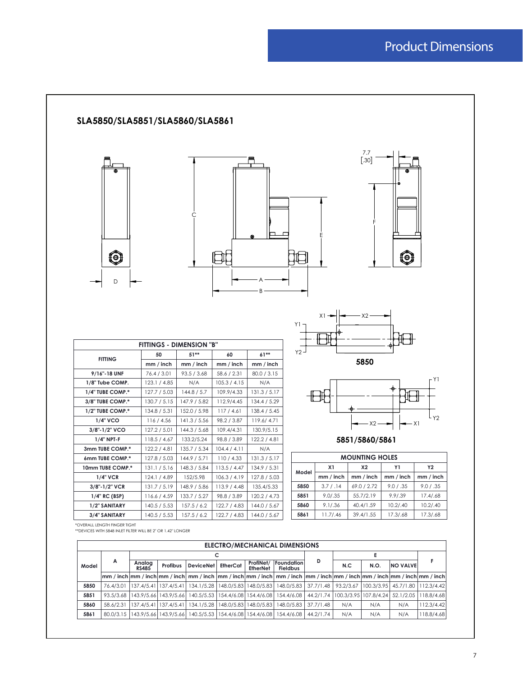### Product Dimensions



|       | <b>ELECTRO/MECHANICAL DIMENSIONS</b> |                        |                       |                  |            |                       |                                                                                                                                                                                                                                                                                                                                                                                                                                                                                                     |           |     |                       |                                                 |            |
|-------|--------------------------------------|------------------------|-----------------------|------------------|------------|-----------------------|-----------------------------------------------------------------------------------------------------------------------------------------------------------------------------------------------------------------------------------------------------------------------------------------------------------------------------------------------------------------------------------------------------------------------------------------------------------------------------------------------------|-----------|-----|-----------------------|-------------------------------------------------|------------|
|       |                                      | c                      |                       |                  |            |                       |                                                                                                                                                                                                                                                                                                                                                                                                                                                                                                     |           | Е   |                       |                                                 |            |
| Model | A                                    | Analog<br><b>RS485</b> | Profibus              | <b>DeviceNet</b> | EtherCat   | ProfiNet/<br>EtherNet | <b>Foundation</b><br><b>Fieldbus</b>                                                                                                                                                                                                                                                                                                                                                                                                                                                                | D         | N.C | N.O.                  | <b>NO VALVE</b>                                 |            |
|       |                                      |                        |                       |                  |            |                       | $\lvert \mathsf{mm}/\mathsf{inch} \rvert \mathsf{mm}/\mathsf{inch} \rvert \mathsf{mm}/\mathsf{inch} \rvert \mathsf{mm}/\mathsf{inch} \rvert \mathsf{mm}/\mathsf{inch} \rvert \mathsf{mm}/\mathsf{inch} \rvert \mathsf{mm}/\mathsf{inch} \rvert \mathsf{mm}/\mathsf{inch} \rvert \mathsf{mm}/\mathsf{inch} \rvert \mathsf{mm}/\mathsf{inch} \rvert \mathsf{mm}/\mathsf{inch} \rvert \mathsf{mm}/\mathsf{inch} \rvert \mathsf{mm}/\mathsf{inch} \rvert \mathsf{mm}/\mathsf{inch} \rvert \mathsf{mm}/$ |           |     |                       |                                                 |            |
| 5850  | 76.4/3.01                            |                        | 137.4/5.41 137.4/5.41 | 134.1/5.28       | 148.0/5.83 | 148.0/5.83            | 148.0/5.83 37.7/1.48                                                                                                                                                                                                                                                                                                                                                                                                                                                                                |           |     |                       | 93.2/3.67   100.3/3.95   45.7/1.80   112.3/4.42 |            |
| 5851  | 93.5/3.68                            |                        | 143.9/5.66 143.9/5.66 | 140.5/5.53       | 154.4/6.08 | 154.4/6.08            | 154,4/6,08                                                                                                                                                                                                                                                                                                                                                                                                                                                                                          | 44.2/1.74 |     | 100.3/3.95 107.8/4.24 | 52.1/2.05                                       | 118.8/4.68 |
| 5860  | 58.6/2.31                            | 137.4/5.41             | 137,4/5,41            | 134.1/5.28       | 148.0/5.83 | 148.0/5.83            | 148.0/5.83                                                                                                                                                                                                                                                                                                                                                                                                                                                                                          | 37.7/1.48 | N/A | N/A                   | N/A                                             | 112.3/4.42 |
| 5861  | 80.0/3.15                            |                        | 143.9/5.66 143.9/5.66 | 140.5/5.53       | 154.4/6.08 | 154.4/6.08            | 154.4/6.08                                                                                                                                                                                                                                                                                                                                                                                                                                                                                          | 44.2/1.74 | N/A | N/A                   | N/A                                             | 118.8/4.68 |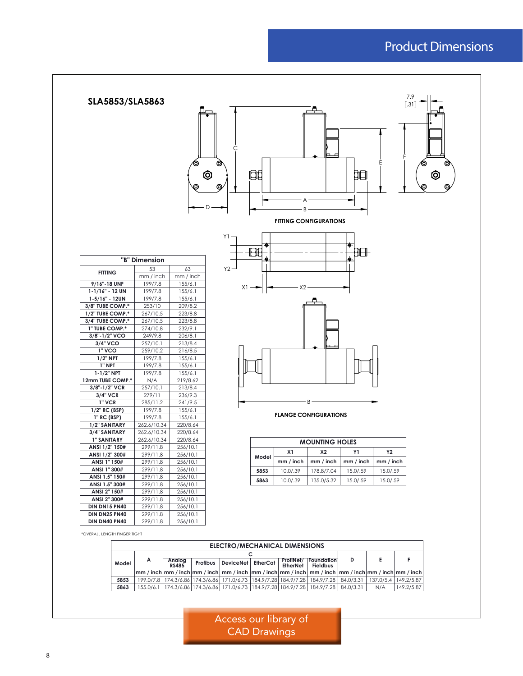### Product Dimensions



\*OVERALL LENGTH FINGER TIGHT

|       | ELECTRO/MECHANICAL DIMENSIONS |                        |          |                    |  |                 |                                                                                                                                                                                                                   |   |     |                        |
|-------|-------------------------------|------------------------|----------|--------------------|--|-----------------|-------------------------------------------------------------------------------------------------------------------------------------------------------------------------------------------------------------------|---|-----|------------------------|
|       |                               |                        |          |                    |  |                 |                                                                                                                                                                                                                   |   |     |                        |
| Model | A                             | Analoa<br><b>RS485</b> | Profibus | DeviceNet EtherCat |  | <b>EtherNet</b> | ProfiNet/   Foundation  <br><b>Fieldbus</b>                                                                                                                                                                       | D |     |                        |
|       |                               |                        |          |                    |  |                 | $\lfloor$ mm / inch $\lfloor$ mm / inch $\lfloor$ mm / inch $\lfloor$ mm / inch $\lfloor$ mm / inch $\lfloor$ mm / inch $\lfloor$ mm / inch $\lfloor$ mm / inch $\lfloor$ mm / inch $\lfloor$ mm / inch $\lfloor$ |   |     |                        |
| 5853  |                               |                        |          |                    |  |                 | 199.0/7.8 174.3/6.86 174.3/6.86 171.0/6.73 184.9/7.28 184.9/7.28 184.9/7.28 84.0/3.31                                                                                                                             |   |     | 137.0/5.4   149.2/5.87 |
| 5863  |                               |                        |          |                    |  |                 | 155.0/6.1 174.3/6.86 174.3/6.86 171.0/6.73 184.9/7.28 184.9/7.28 184.9/7.28 84.0/3.31                                                                                                                             |   | N/A | 149.2/5.87             |

Access our library of CAD Drawings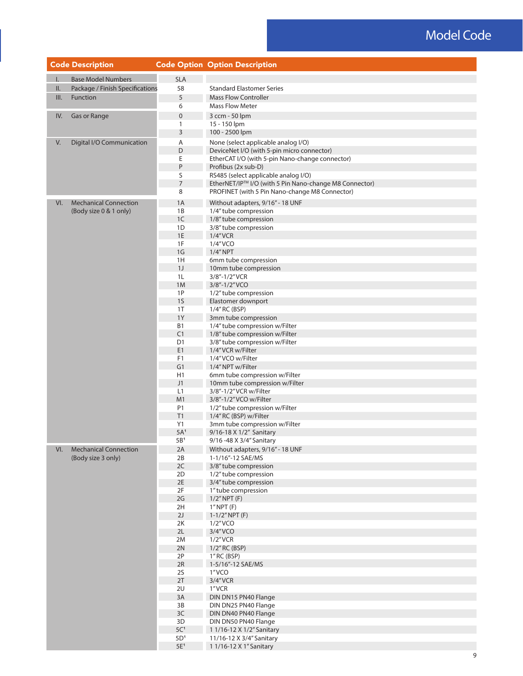# Model Code

|              | <b>Code Description</b>         |                          | <b>Code Option Option Description</b>                                                                    |
|--------------|---------------------------------|--------------------------|----------------------------------------------------------------------------------------------------------|
| $\mathsf{L}$ | <b>Base Model Numbers</b>       | <b>SLA</b>               |                                                                                                          |
| II.          | Package / Finish Specifications | 58                       | <b>Standard Elastomer Series</b>                                                                         |
| III.         | Function                        | 5                        | <b>Mass Flow Controller</b>                                                                              |
|              |                                 | 6                        | <b>Mass Flow Meter</b>                                                                                   |
| IV.          | Gas or Range                    | $\pmb{0}$                | 3 ccm - 50 lpm                                                                                           |
|              |                                 | 1                        | 15 - 150 lpm                                                                                             |
|              |                                 | 3                        | 100 - 2500 lpm                                                                                           |
| V.           | Digital I/O Communication       | Α                        | None (select applicable analog I/O)                                                                      |
|              |                                 | D                        | DeviceNet I/O (with 5-pin micro connector)                                                               |
|              |                                 | Ε                        | EtherCAT I/O (with 5-pin Nano-change connector)                                                          |
|              |                                 | P                        | Profibus (2x sub-D)                                                                                      |
|              |                                 | S                        | RS485 (select applicable analog I/O)                                                                     |
|              |                                 | $\overline{7}$<br>8      | EtherNET/IP™ I/O (with 5 Pin Nano-change M8 Connector)<br>PROFINET (with 5 Pin Nano-change M8 Connector) |
|              |                                 |                          |                                                                                                          |
| VI.          | <b>Mechanical Connection</b>    | 1A                       | Without adapters, 9/16" - 18 UNF                                                                         |
|              | (Body size 0 & 1 only)          | 1B                       | 1/4" tube compression                                                                                    |
|              |                                 | 1C<br>1D                 | 1/8" tube compression<br>3/8" tube compression                                                           |
|              |                                 | $1\mathsf{E}$            | $1/4$ "VCR                                                                                               |
|              |                                 | 1F                       | 1/4"VCO                                                                                                  |
|              |                                 | 1 <sub>G</sub>           | $1/4''$ NPT                                                                                              |
|              |                                 | 1H                       | 6mm tube compression                                                                                     |
|              |                                 | 1J                       | 10mm tube compression                                                                                    |
|              |                                 | 1L                       | 3/8"-1/2"VCR                                                                                             |
|              |                                 | 1M                       | 3/8"-1/2"VCO                                                                                             |
|              |                                 | 1P<br>1 <sub>S</sub>     | 1/2" tube compression<br>Elastomer downport                                                              |
|              |                                 | 1T                       | 1/4" RC (BSP)                                                                                            |
|              |                                 | 1Y                       | 3mm tube compression                                                                                     |
|              |                                 | <b>B1</b>                | 1/4" tube compression w/Filter                                                                           |
|              |                                 | C1                       | 1/8" tube compression w/Filter                                                                           |
|              |                                 | D <sub>1</sub>           | 3/8" tube compression w/Filter                                                                           |
|              |                                 | E1                       | 1/4"VCR w/Filter                                                                                         |
|              |                                 | F1<br>G1                 | 1/4"VCO w/Filter<br>1/4" NPT w/Filter                                                                    |
|              |                                 | H1                       | 6mm tube compression w/Filter                                                                            |
|              |                                 | J1                       | 10mm tube compression w/Filter                                                                           |
|              |                                 | L1                       | 3/8"-1/2" VCR w/Filter                                                                                   |
|              |                                 | M1                       | 3/8"-1/2"VCO w/Filter                                                                                    |
|              |                                 | P1                       | 1/2" tube compression w/Filter                                                                           |
|              |                                 | T1                       | 1/4" RC (BSP) w/Filter                                                                                   |
|              |                                 | Y1<br>5A <sup>1</sup>    | 3mm tube compression w/Filter<br>9/16-18 X 1/2" Sanitary                                                 |
|              |                                 | 5B <sup>1</sup>          | 9/16 -48 X 3/4" Sanitary                                                                                 |
| VI.          | <b>Mechanical Connection</b>    | 2A                       | Without adapters, 9/16" - 18 UNF                                                                         |
|              | (Body size 3 only)              | 2B                       | 1-1/16"-12 SAE/MS                                                                                        |
|              |                                 | 2C                       | 3/8" tube compression                                                                                    |
|              |                                 | 2D                       | 1/2" tube compression                                                                                    |
|              |                                 | 2E                       | 3/4" tube compression                                                                                    |
|              |                                 | 2F<br>2G                 | 1" tube compression                                                                                      |
|              |                                 | 2H                       | $1/2$ " NPT $(F)$<br>1"NPT(F)                                                                            |
|              |                                 | 2J                       | $1-1/2''$ NPT (F)                                                                                        |
|              |                                 | 2K                       | 1/2"VCO                                                                                                  |
|              |                                 | 2L                       | 3/4"VCO                                                                                                  |
|              |                                 | 2M                       | $1/2$ "VCR                                                                                               |
|              |                                 | 2N                       | 1/2" RC (BSP)                                                                                            |
|              |                                 | 2P                       | 1" RC (BSP)                                                                                              |
|              |                                 | 2R<br>2S                 | 1-5/16"-12 SAE/MS<br>1"VCO                                                                               |
|              |                                 | 2T                       | $3/4''$ VCR                                                                                              |
|              |                                 | 2U                       | 1"VCR                                                                                                    |
|              |                                 | 3A                       | DIN DN15 PN40 Flange                                                                                     |
|              |                                 | 3B                       | DIN DN25 PN40 Flange                                                                                     |
|              |                                 | 3C                       | DIN DN40 PN40 Flange                                                                                     |
|              |                                 | 3D                       | DIN DN50 PN40 Flange                                                                                     |
|              |                                 | $5C1$<br>5D <sup>1</sup> | 1 1/16-12 X 1/2" Sanitary                                                                                |
|              |                                 | $5E^1$                   | 11/16-12 X 3/4" Sanitary<br>1 1/16-12 X 1" Sanitary                                                      |
|              |                                 |                          |                                                                                                          |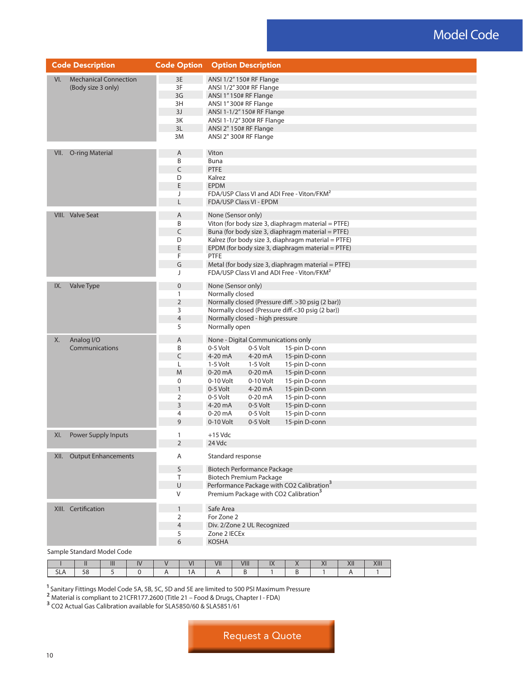## Model Code

| <b>Code Option</b><br><b>Code Description</b> |                |                     | <b>Option Description</b>                                                                              |                                                      |  |  |  |  |
|-----------------------------------------------|----------------|---------------------|--------------------------------------------------------------------------------------------------------|------------------------------------------------------|--|--|--|--|
| <b>Mechanical Connection</b><br>VI.           | 3E             |                     | ANSI 1/2" 150# RF Flange                                                                               |                                                      |  |  |  |  |
| (Body size 3 only)                            | 3F             |                     | ANSI 1/2"300# RF Flange                                                                                |                                                      |  |  |  |  |
|                                               | 3G             |                     | ANSI 1"150# RF Flange                                                                                  |                                                      |  |  |  |  |
|                                               | 3H             |                     | ANSI 1"300# RF Flange                                                                                  |                                                      |  |  |  |  |
|                                               | 3J             |                     | ANSI 1-1/2" 150# RF Flange                                                                             |                                                      |  |  |  |  |
|                                               |                | 3K                  | ANSI 1-1/2" 300# RF Flange                                                                             |                                                      |  |  |  |  |
|                                               | 3L             |                     | ANSI 2" 150# RF Flange                                                                                 |                                                      |  |  |  |  |
|                                               | 3M             |                     | ANSI 2" 300# RF Flange                                                                                 |                                                      |  |  |  |  |
|                                               |                |                     |                                                                                                        |                                                      |  |  |  |  |
| O-ring Material<br>VII.                       | Α              | Viton               |                                                                                                        |                                                      |  |  |  |  |
|                                               | B              | Buna                |                                                                                                        |                                                      |  |  |  |  |
|                                               | $\mathsf C$    | PTFE                |                                                                                                        |                                                      |  |  |  |  |
|                                               | D              | Kalrez              |                                                                                                        |                                                      |  |  |  |  |
|                                               | E              |                     | <b>EPDM</b>                                                                                            |                                                      |  |  |  |  |
|                                               | J              |                     | FDA/USP Class VI and ADI Free - Viton/FKM <sup>2</sup>                                                 |                                                      |  |  |  |  |
|                                               | L              |                     | FDA/USP Class VI - EPDM                                                                                |                                                      |  |  |  |  |
| VIII. Valve Seat                              |                | Α                   | None (Sensor only)                                                                                     |                                                      |  |  |  |  |
|                                               | B              |                     | Viton (for body size 3, diaphragm material = PTFE)                                                     |                                                      |  |  |  |  |
|                                               | C              |                     | Buna (for body size 3, diaphragm material = PTFE)                                                      |                                                      |  |  |  |  |
|                                               | D              |                     | Kalrez (for body size 3, diaphragm material = PTFE)                                                    |                                                      |  |  |  |  |
|                                               | E              |                     |                                                                                                        | EPDM (for body size 3, diaphragm material = PTFE)    |  |  |  |  |
|                                               | F              | PTFE                |                                                                                                        |                                                      |  |  |  |  |
|                                               | G              |                     |                                                                                                        | Metal (for body size 3, diaphragm material $=$ PTFE) |  |  |  |  |
|                                               | J              |                     | FDA/USP Class VI and ADI Free - Viton/FKM <sup>2</sup>                                                 |                                                      |  |  |  |  |
| IX.<br>Valve Type                             | $\pmb{0}$      |                     | None (Sensor only)                                                                                     |                                                      |  |  |  |  |
|                                               | 1              |                     | Normally closed                                                                                        |                                                      |  |  |  |  |
|                                               |                | $\overline{2}$      |                                                                                                        |                                                      |  |  |  |  |
|                                               |                | 3                   | Normally closed (Pressure diff. > 30 psig (2 bar))<br>Normally closed (Pressure diff.<30 psig (2 bar)) |                                                      |  |  |  |  |
|                                               | $\overline{4}$ |                     | Normally closed - high pressure                                                                        |                                                      |  |  |  |  |
|                                               | 5              |                     | Normally open                                                                                          |                                                      |  |  |  |  |
| Analog I/O                                    |                |                     |                                                                                                        |                                                      |  |  |  |  |
| Х.<br>Communications                          | A<br>B         |                     | None - Digital Communications only                                                                     |                                                      |  |  |  |  |
|                                               | C              | 0-5 Volt<br>4-20 mA | 0-5 Volt<br>4-20 mA                                                                                    | 15-pin D-conn                                        |  |  |  |  |
|                                               |                | 1-5 Volt            |                                                                                                        | 15-pin D-conn                                        |  |  |  |  |
|                                               | L<br>M         | 0-20 mA             | 1-5 Volt                                                                                               | 15-pin D-conn                                        |  |  |  |  |
|                                               |                |                     | $0-20$ mA                                                                                              | 15-pin D-conn                                        |  |  |  |  |
|                                               | 0              | 0-10 Volt           | 0-10 Volt                                                                                              | 15-pin D-conn                                        |  |  |  |  |
|                                               | $\mathbf{1}$   | 0-5 Volt            | 4-20 mA                                                                                                | 15-pin D-conn                                        |  |  |  |  |
|                                               | 2<br>3         | 0-5 Volt<br>4-20 mA | $0-20$ mA<br>0-5 Volt                                                                                  | 15-pin D-conn                                        |  |  |  |  |
|                                               | $\overline{4}$ | $0-20$ mA           |                                                                                                        | 15-pin D-conn<br>15-pin D-conn                       |  |  |  |  |
|                                               | 9              | 0-10 Volt           | 0-5 Volt<br>0-5 Volt                                                                                   | 15-pin D-conn                                        |  |  |  |  |
|                                               |                |                     |                                                                                                        |                                                      |  |  |  |  |
| XI.<br><b>Power Supply Inputs</b>             | 1              | $+15$ Vdc           |                                                                                                        |                                                      |  |  |  |  |
|                                               | 2              | 24 Vdc              |                                                                                                        |                                                      |  |  |  |  |
| <b>Output Enhancements</b><br>XII.            |                | Α                   | Standard response                                                                                      |                                                      |  |  |  |  |
|                                               | S              |                     | <b>Biotech Performance Package</b>                                                                     |                                                      |  |  |  |  |
|                                               | T              |                     | <b>Biotech Premium Package</b>                                                                         |                                                      |  |  |  |  |
|                                               | U              |                     | Performance Package with CO2 Calibration <sup>3</sup>                                                  |                                                      |  |  |  |  |
|                                               | V              |                     | Premium Package with CO2 Calibration <sup>3</sup>                                                      |                                                      |  |  |  |  |
| XIII. Certification                           | 1              | Safe Area           |                                                                                                        |                                                      |  |  |  |  |
|                                               | 2              | For Zone 2          |                                                                                                        |                                                      |  |  |  |  |
|                                               | $\overline{4}$ |                     |                                                                                                        |                                                      |  |  |  |  |
|                                               | 5              |                     | Div. 2/Zone 2 UL Recognized<br>Zone 2 IECEx                                                            |                                                      |  |  |  |  |
|                                               | 6              | <b>KOSHA</b>        |                                                                                                        |                                                      |  |  |  |  |
| Sample Standard Model Code                    |                |                     |                                                                                                        |                                                      |  |  |  |  |

|     | $\overline{\cdots}$<br> | $\overline{\phantom{a}}$ | - - | $\overline{111}$<br>VII | $\overline{\phantom{a} \cdots}$<br><b>VIII</b> | $\overline{\cdots}$<br>$\cdots$ | $\overline{\phantom{a}}$<br>$\sqrt{1}$ | $\overline{V}$<br>$\Delta$ II | <br>7111 |
|-----|-------------------------|--------------------------|-----|-------------------------|------------------------------------------------|---------------------------------|----------------------------------------|-------------------------------|----------|
| シレハ |                         |                          | .   |                         |                                                |                                 |                                        |                               |          |

 $^{\text{1}}$  Sanitary Fittings Model Code 5A, 5B, 5C, 5D and 5E are limited to 500 PSI Maximum Pressure

<sup>2</sup> Material is compliant to 21CFR177.2600 (Title 21 – Food & Drugs, Chapter I - FDA)

<sup>3</sup> CO2 Actual Gas Calibration available for SLA5850/60 & SLA5851/61

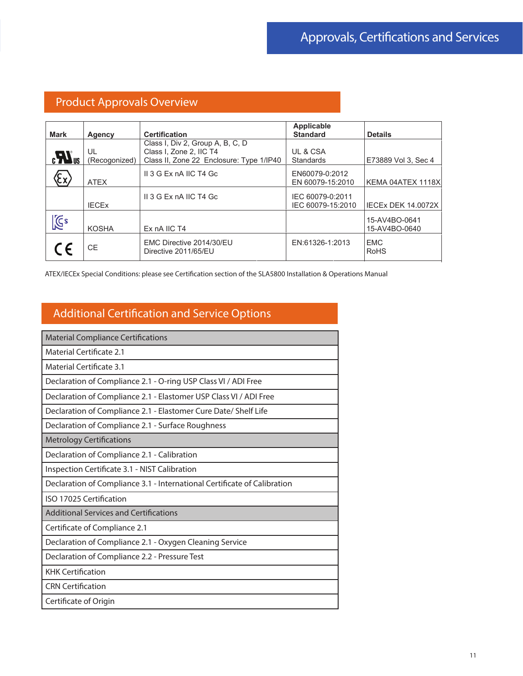## Product Approvals Overview

|                              |                     |                                                                                                         | Applicable                            |                                |
|------------------------------|---------------------|---------------------------------------------------------------------------------------------------------|---------------------------------------|--------------------------------|
| <b>Mark</b>                  | Agency              | <b>Certification</b>                                                                                    | <b>Standard</b>                       | <b>Details</b>                 |
| $\boldsymbol{H}_{\text{us}}$ | UL<br>(Recogonized) | Class I, Div 2, Group A, B, C, D<br>Class I, Zone 2, IIC T4<br>Class II, Zone 22 Enclosure: Type 1/IP40 | UL & CSA<br><b>Standards</b>          | E73889 Vol 3, Sec 4            |
|                              | <b>ATEX</b>         | II 3 G Ex nA IIC T4 Gc                                                                                  | EN60079-0:2012<br>EN 60079-15:2010    | KEMA 04ATEX 1118X              |
|                              | <b>IECEX</b>        | II 3 G Ex nA IIC T4 Gc                                                                                  | IEC 60079-0:2011<br>IEC 60079-15:2010 | IECEx DEK 14.0072X             |
| <b>I</b>                     | <b>KOSHA</b>        | Ex nA IIC T4                                                                                            |                                       | 15-AV4BO-0641<br>15-AV4BO-0640 |
| CE                           | <b>CE</b>           | EMC Directive 2014/30/EU<br>Directive 2011/65/EU                                                        | EN:61326-1:2013                       | <b>EMC</b><br><b>RoHS</b>      |

ATEX/IECEx Special Conditions: please see Certification section of the SLA5800 Installation & Operations Manual

# Additional Certification and Service Options

| <b>Material Compliance Certifications</b>                                |
|--------------------------------------------------------------------------|
| Material Certificate 2.1                                                 |
| Material Certificate 3.1                                                 |
| Declaration of Compliance 2.1 - O-ring USP Class VI / ADI Free           |
| Declaration of Compliance 2.1 - Elastomer USP Class VI / ADI Free        |
| Declaration of Compliance 2.1 - Elastomer Cure Date/ Shelf Life          |
| Declaration of Compliance 2.1 - Surface Roughness                        |
| <b>Metrology Certifications</b>                                          |
| Declaration of Compliance 2.1 - Calibration                              |
| Inspection Certificate 3.1 - NIST Calibration                            |
| Declaration of Compliance 3.1 - International Certificate of Calibration |
| ISO 17025 Certification                                                  |
| <b>Additional Services and Certifications</b>                            |
| Certificate of Compliance 2.1                                            |
| Declaration of Compliance 2.1 - Oxygen Cleaning Service                  |
| Declaration of Compliance 2.2 - Pressure Test                            |
| <b>KHK Certification</b>                                                 |
| <b>CRN Certification</b>                                                 |
| Certificate of Origin                                                    |